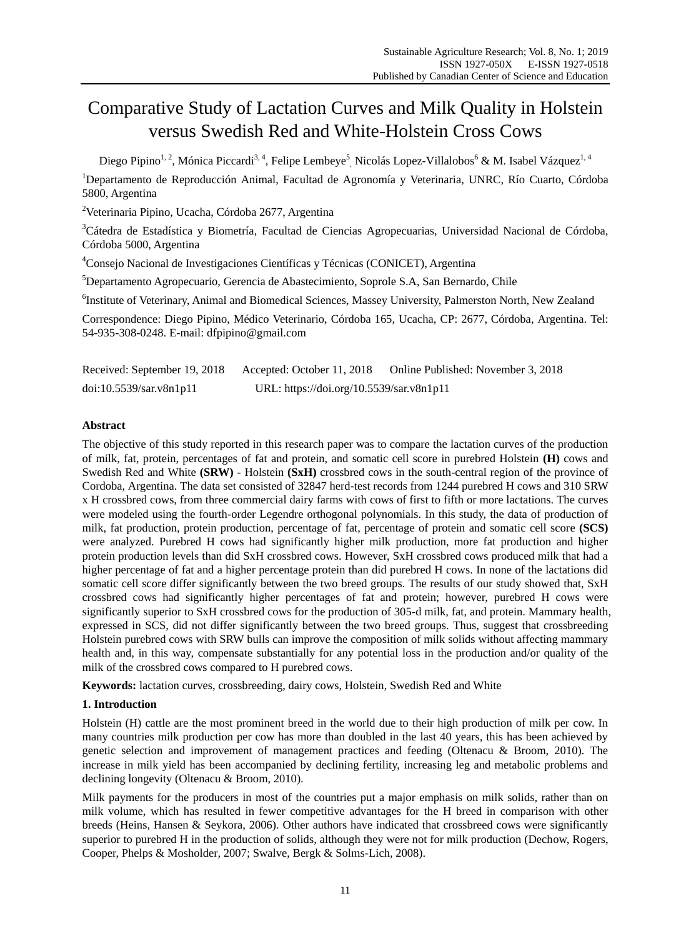# Comparative Study of Lactation Curves and Milk Quality in Holstein versus Swedish Red and White-Holstein Cross Cows

Diego Pipino<sup>1, 2</sup>, Mánica Piccardi<sup>3, 4</sup>, Felipe Lembeye<sup>5</sup>, Nicolás Lopez-Villalobos<sup>6</sup> & M. Isabel Vázquez<sup>1, 4</sup>

<sup>1</sup>Departamento de Reproducción Animal, Facultad de Agronomía y Veterinaria, UNRC, R ó Cuarto, Córdoba 5800, Argentina

<sup>2</sup>Veterinaria Pipino, Ucacha, Córdoba 2677, Argentina

<sup>3</sup>Cátedra de Estadística y Biometría, Facultad de Ciencias Agropecuarias, Universidad Nacional de Córdoba, Córdoba 5000, Argentina

 $4^{\circ}$ Consejo Nacional de Investigaciones Científicas y Técnicas (CONICET), Argentina

<sup>5</sup>Departamento Agropecuario, Gerencia de Abastecimiento, Soprole S.A, San Bernardo, Chile

6 Institute of Veterinary, Animal and Biomedical Sciences, Massey University, Palmerston North, New Zealand

Correspondence: Diego Pipino, Médico Veterinario, Córdoba 165, Ucacha, CP: 2677, Córdoba, Argentina. Tel: 54-935-308-0248. E-mail: dfpipino@gmail.com

| Received: September 19, 2018 | Accepted: October 11, 2018               | Online Published: November 3, 2018 |
|------------------------------|------------------------------------------|------------------------------------|
| doi:10.5539/sar.v8n1p11      | URL: https://doi.org/10.5539/sar.v8n1p11 |                                    |

# **Abstract**

The objective of this study reported in this research paper was to compare the lactation curves of the production of milk, fat, protein, percentages of fat and protein, and somatic cell score in purebred Holstein **(H)** cows and Swedish Red and White **(SRW)** - Holstein **(SxH)** crossbred cows in the south-central region of the province of Cordoba, Argentina. The data set consisted of 32847 herd-test records from 1244 purebred H cows and 310 SRW x H crossbred cows, from three commercial dairy farms with cows of first to fifth or more lactations. The curves were modeled using the fourth-order Legendre orthogonal polynomials. In this study, the data of production of milk, fat production, protein production, percentage of fat, percentage of protein and somatic cell score **(SCS)** were analyzed. Purebred H cows had significantly higher milk production, more fat production and higher protein production levels than did SxH crossbred cows. However, SxH crossbred cows produced milk that had a higher percentage of fat and a higher percentage protein than did purebred H cows. In none of the lactations did somatic cell score differ significantly between the two breed groups. The results of our study showed that, SxH crossbred cows had significantly higher percentages of fat and protein; however, purebred H cows were significantly superior to SxH crossbred cows for the production of 305-d milk, fat, and protein. Mammary health, expressed in SCS, did not differ significantly between the two breed groups. Thus, suggest that crossbreeding Holstein purebred cows with SRW bulls can improve the composition of milk solids without affecting mammary health and, in this way, compensate substantially for any potential loss in the production and/or quality of the milk of the crossbred cows compared to H purebred cows.

**Keywords:** lactation curves, crossbreeding, dairy cows, Holstein, Swedish Red and White

# **1. Introduction**

Holstein (H) cattle are the most prominent breed in the world due to their high production of milk per cow. In many countries milk production per cow has more than doubled in the last 40 years, this has been achieved by genetic selection and improvement of management practices and feeding (Oltenacu & Broom, 2010). The increase in milk yield has been accompanied by declining fertility, increasing leg and metabolic problems and declining longevity (Oltenacu & Broom, 2010).

Milk payments for the producers in most of the countries put a major emphasis on milk solids, rather than on milk volume, which has resulted in fewer competitive advantages for the H breed in comparison with other breeds (Heins, Hansen & Seykora, 2006). Other authors have indicated that crossbreed cows were significantly superior to purebred H in the production of solids, although they were not for milk production (Dechow, Rogers, Cooper, Phelps & Mosholder*,* 2007; Swalve, Bergk & Solms-Lich*,* 2008).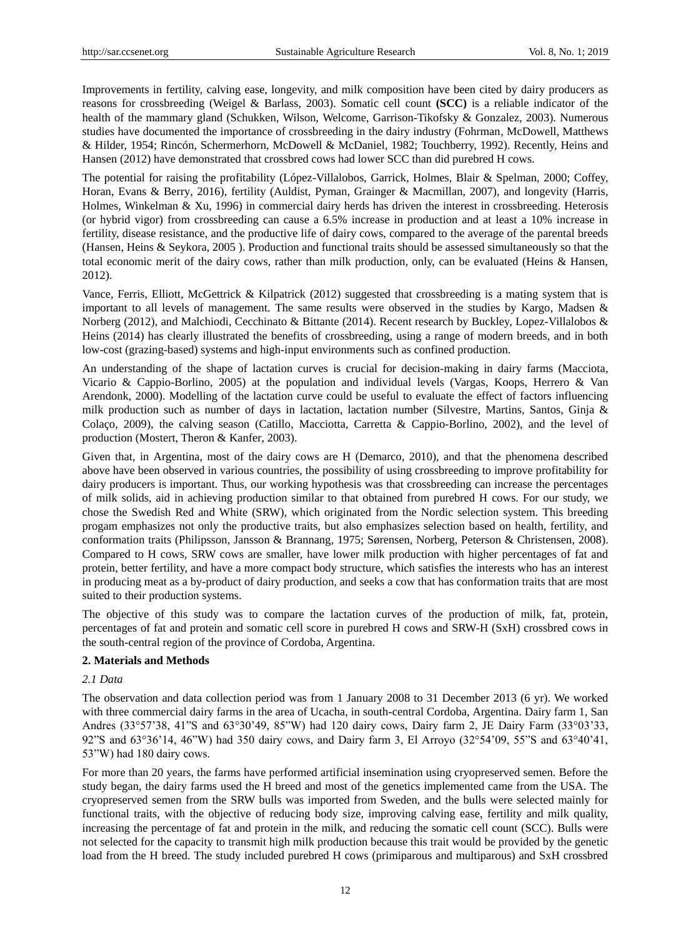Improvements in fertility, calving ease, longevity, and milk composition have been cited by dairy producers as reasons for crossbreeding (Weigel & Barlass, 2003). Somatic cell count **(SCC)** is a reliable indicator of the health of the mammary gland (Schukken, Wilson, Welcome, Garrison-Tikofsky & Gonzalez, 2003). Numerous studies have documented the importance of crossbreeding in the dairy industry (Fohrman, McDowell, Matthews & Hilder, 1954; Rincón, Schermerhorn, McDowell & McDaniel, 1982; Touchberry, 1992). Recently, Heins and Hansen (2012) have demonstrated that crossbred cows had lower SCC than did purebred H cows.

The potential for raising the profitability (López-Villalobos, Garrick, Holmes, Blair & Spelman, 2000; Coffey, Horan, Evans & Berry*,* 2016), fertility (Auldist, Pyman, Grainger & Macmillan, 2007), and longevity (Harris, Holmes, Winkelman & Xu, 1996) in commercial dairy herds has driven the interest in crossbreeding. Heterosis (or hybrid vigor) from crossbreeding can cause a 6.5% increase in production and at least a 10% increase in fertility, disease resistance, and the productive life of dairy cows, compared to the average of the parental breeds (Hansen, Heins & Seykora, 2005 ). Production and functional traits should be assessed simultaneously so that the total economic merit of the dairy cows, rather than milk production, only, can be evaluated (Heins & Hansen, 2012).

Vance, Ferris, Elliott, McGettrick & Kilpatrick (2012) suggested that crossbreeding is a mating system that is important to all levels of management. The same results were observed in the studies by Kargo, Madsen & Norberg (2012), and Malchiodi, Cecchinato & Bittante (2014). Recent research by Buckley, Lopez-Villalobos & Heins (2014) has clearly illustrated the benefits of crossbreeding, using a range of modern breeds, and in both low-cost (grazing-based) systems and high-input environments such as confined production.

An understanding of the shape of lactation curves is crucial for decision-making in dairy farms (Macciota, Vicario & Cappio-Borlino, 2005) at the population and individual levels (Vargas, Koops, Herrero & Van Arendonk, 2000). Modelling of the lactation curve could be useful to evaluate the effect of factors influencing milk production such as number of days in lactation, lactation number (Silvestre, Martins, Santos, Ginja & Colaço, 2009), the calving season (Catillo, Macciotta, Carretta & Cappio-Borlino*,* 2002), and the level of production (Mostert, Theron & Kanfer*,* 2003).

Given that, in Argentina, most of the dairy cows are H (Demarco, 2010), and that the phenomena described above have been observed in various countries, the possibility of using crossbreeding to improve profitability for dairy producers is important. Thus, our working hypothesis was that crossbreeding can increase the percentages of milk solids, aid in achieving production similar to that obtained from purebred H cows. For our study, we chose the Swedish Red and White (SRW), which originated from the Nordic selection system. This breeding progam emphasizes not only the productive traits, but also emphasizes selection based on health, fertility, and conformation traits (Philipsson, Jansson & Brannang, 1975; Sørensen, Norberg, Peterson & Christensen, 2008). Compared to H cows, SRW cows are smaller, have lower milk production with higher percentages of fat and protein, better fertility, and have a more compact body structure, which satisfies the interests who has an interest in producing meat as a by-product of dairy production, and seeks a cow that has conformation traits that are most suited to their production systems.

The objective of this study was to compare the lactation curves of the production of milk, fat, protein, percentages of fat and protein and somatic cell score in purebred H cows and SRW-H (SxH) crossbred cows in the south-central region of the province of Cordoba, Argentina.

## **2. Materials and Methods**

## *2.1 Data*

The observation and data collection period was from 1 January 2008 to 31 December 2013 (6 yr). We worked with three commercial dairy farms in the area of Ucacha, in south-central Cordoba, Argentina. Dairy farm 1, San Andres (33°57'38, 41"S and 63°30'49, 85"W) had 120 dairy cows, Dairy farm 2, JE Dairy Farm (33°03'33, 92"S and  $63^{\circ}36'14$ ,  $46''W$ ) had 350 dairy cows, and Dairy farm 3, El Arroyo  $(32^{\circ}54'09, 55''S$  and  $63^{\circ}40'41$ , 53"W) had 180 dairy cows.

For more than 20 years, the farms have performed artificial insemination using cryopreserved semen. Before the study began, the dairy farms used the H breed and most of the genetics implemented came from the USA. The cryopreserved semen from the SRW bulls was imported from Sweden, and the bulls were selected mainly for functional traits, with the objective of reducing body size, improving calving ease, fertility and milk quality, increasing the percentage of fat and protein in the milk, and reducing the somatic cell count (SCC). Bulls were not selected for the capacity to transmit high milk production because this trait would be provided by the genetic load from the H breed. The study included purebred H cows (primiparous and multiparous) and SxH crossbred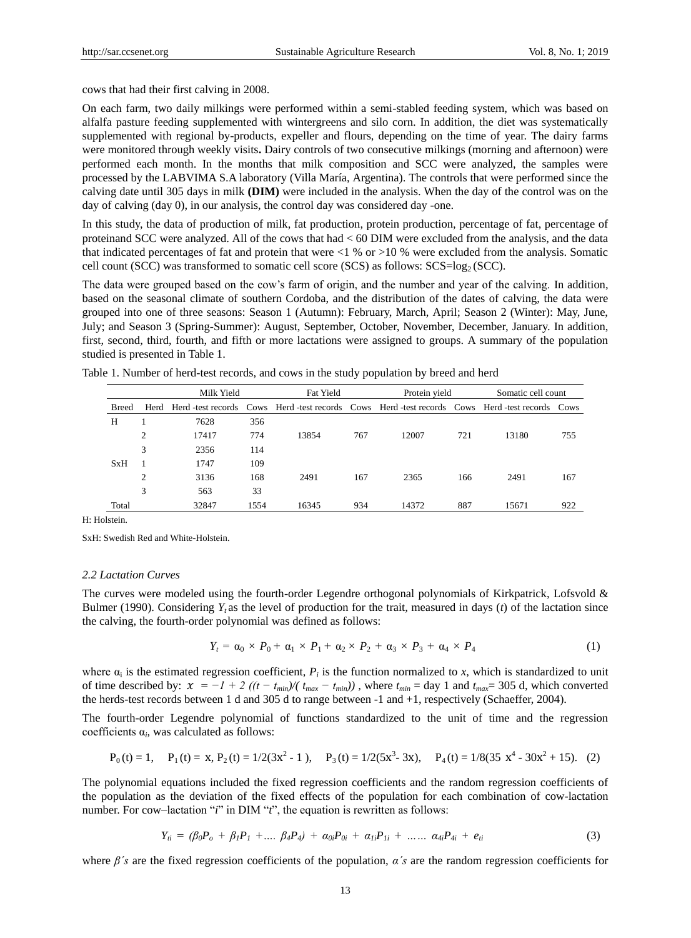cows that had their first calving in 2008.

On each farm, two daily milkings were performed within a semi-stabled feeding system, which was based on alfalfa pasture feeding supplemented with wintergreens and silo corn. In addition, the diet was systematically supplemented with regional by-products, expeller and flours, depending on the time of year. The dairy farms were monitored through weekly visits**.** Dairy controls of two consecutive milkings (morning and afternoon) were performed each month. In the months that milk composition and SCC were analyzed, the samples were processed by the LABVIMA S.A laboratory (Villa María, Argentina). The controls that were performed since the calving date until 305 days in milk **(DIM)** were included in the analysis. When the day of the control was on the day of calving (day 0), in our analysis, the control day was considered day -one.

In this study, the data of production of milk, fat production, protein production, percentage of fat, percentage of proteinand SCC were analyzed. All of the cows that had < 60 DIM were excluded from the analysis, and the data that indicated percentages of fat and protein that were <1 % or >10 % were excluded from the analysis. Somatic cell count (SCC) was transformed to somatic cell score (SCS) as follows:  $SCS = log_2 (SCC)$ .

The data were grouped based on the cow's farm of origin, and the number and year of the calving. In addition, based on the seasonal climate of southern Cordoba, and the distribution of the dates of calving, the data were grouped into one of three seasons: Season 1 (Autumn): February, March, April; Season 2 (Winter): May, June, July; and Season 3 (Spring-Summer): August, September, October, November, December, January. In addition, first, second, third, fourth, and fifth or more lactations were assigned to groups. A summary of the population studied is presented in Table 1.

|              |                | Milk Yield |      | Fat Yield                                                                                   |     | Protein yield |     | Somatic cell count |     |
|--------------|----------------|------------|------|---------------------------------------------------------------------------------------------|-----|---------------|-----|--------------------|-----|
| <b>Breed</b> | Herd           |            |      | Herd-test records Cows Herd-test records Cows Herd-test records Cows Herd-test records Cows |     |               |     |                    |     |
| H            |                | 7628       | 356  |                                                                                             |     |               |     |                    |     |
|              | $\overline{2}$ | 17417      | 774  | 13854                                                                                       | 767 | 12007         | 721 | 13180              | 755 |
|              | 3              | 2356       | 114  |                                                                                             |     |               |     |                    |     |
| <b>SxH</b>   |                | 1747       | 109  |                                                                                             |     |               |     |                    |     |
|              | 2              | 3136       | 168  | 2491                                                                                        | 167 | 2365          | 166 | 2491               | 167 |
|              | 3              | 563        | 33   |                                                                                             |     |               |     |                    |     |
| Total        |                | 32847      | 1554 | 16345                                                                                       | 934 | 14372         | 887 | 15671              | 922 |

Table 1. Number of herd-test records, and cows in the study population by breed and herd

H: Holstein.

SxH: Swedish Red and White-Holstein.

#### *2.2 Lactation Curves*

The curves were modeled using the fourth-order Legendre orthogonal polynomials of Kirkpatrick, Lofsvold & Bulmer (1990). Considering *Y<sup>t</sup>* as the level of production for the trait, measured in days (*t*) of the lactation since the calving, the fourth-order polynomial was defined as follows:

$$
Y_t = \alpha_0 \times P_0 + \alpha_1 \times P_1 + \alpha_2 \times P_2 + \alpha_3 \times P_3 + \alpha_4 \times P_4 \tag{1}
$$

where  $\alpha_i$  is the estimated regression coefficient,  $P_i$  is the function normalized to *x*, which is standardized to unit of time described by:  $\chi = -1 + 2((t - t_{min})/(t_{max} - t_{min}))$ , where  $t_{min} = \text{day 1}$  and  $t_{max} = 305$  d, which converted the herds-test records between 1 d and 305 d to range between -1 and +1, respectively (Schaeffer, 2004).

The fourth-order Legendre polynomial of functions standardized to the unit of time and the regression coefficients  $\alpha_i$ , was calculated as follows:

$$
P_0(t) = 1, \quad P_1(t) = x, \ P_2(t) = 1/2(3x^2 - 1), \quad P_3(t) = 1/2(5x^3 - 3x), \quad P_4(t) = 1/8(35x^4 - 30x^2 + 15). \tag{2}
$$

The polynomial equations included the fixed regression coefficients and the random regression coefficients of the population as the deviation of the fixed effects of the population for each combination of cow-lactation number. For cow–lactation "*i*" in DIM "*t*", the equation is rewritten as follows:

$$
Y_{ti} = (\beta_0 P_o + \beta_1 P_1 + \dots + \beta_4 P_4) + \alpha_{0i} P_{0i} + \alpha_{1i} P_{1i} + \dots + \alpha_{4i} P_{4i} + e_{ti}
$$
\n(3)

where *β´s* are the fixed regression coefficients of the population, *α´s* are the random regression coefficients for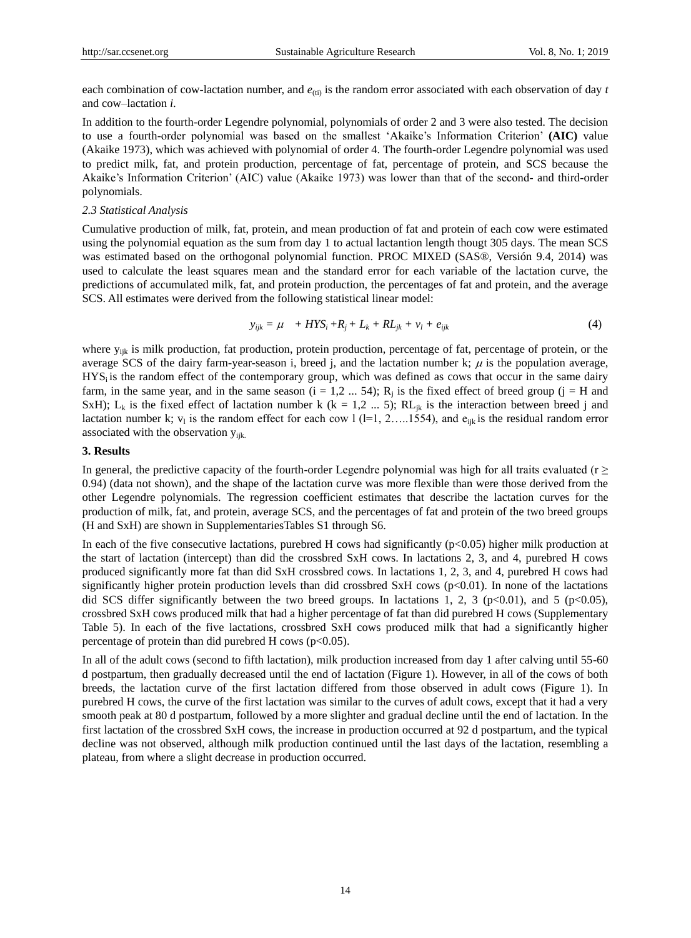each combination of cow-lactation number, and  $e_{(ii)}$  is the random error associated with each observation of day  $t$ and cow–lactation *i*.

In addition to the fourth-order Legendre polynomial, polynomials of order 2 and 3 were also tested. The decision to use a fourth-order polynomial was based on the smallest ‗Akaike's Information Criterion' **(AIC)** value (Akaike 1973), which was achieved with polynomial of order 4. The fourth-order Legendre polynomial was used to predict milk, fat, and protein production, percentage of fat, percentage of protein, and SCS because the Akaike's Information Criterion' (AIC) value (Akaike 1973) was lower than that of the second- and third-order polynomials.

#### *2.3 Statistical Analysis*

Cumulative production of milk, fat, protein, and mean production of fat and protein of each cow were estimated using the polynomial equation as the sum from day 1 to actual lactantion length thougt 305 days. The mean SCS was estimated based on the orthogonal polynomial function. PROC MIXED (SAS®, Versión 9.4, 2014) was used to calculate the least squares mean and the standard error for each variable of the lactation curve, the predictions of accumulated milk, fat, and protein production, the percentages of fat and protein, and the average SCS. All estimates were derived from the following statistical linear model:

$$
y_{ijk} = \mu + HYS_i + R_j + L_k + R L_{jk} + v_l + e_{ijk} \tag{4}
$$

where  $y_{ijk}$  is milk production, fat production, protein production, percentage of fat, percentage of protein, or the average SCS of the dairy farm-year-season i, breed j, and the lactation number k;  $\mu$  is the population average,  $HYS<sub>i</sub>$  is the random effect of the contemporary group, which was defined as cows that occur in the same dairy farm, in the same year, and in the same season  $(i = 1, 2, ..., 54)$ ;  $R_j$  is the fixed effect of breed group  $(j = H$  and SxH); L<sub>k</sub> is the fixed effect of lactation number k (k = 1,2 ... 5); RL<sub>jk</sub> is the interaction between breed j and lactation number k;  $v_1$  is the random effect for each cow 1 (1=1, 2.....1554), and  $e_{ijk}$  is the residual random error associated with the observation  $y_{ijk}$ .

#### **3. Results**

In general, the predictive capacity of the fourth-order Legendre polynomial was high for all traits evaluated ( $r \geq$ 0.94) (data not shown), and the shape of the lactation curve was more flexible than were those derived from the other Legendre polynomials. The regression coefficient estimates that describe the lactation curves for the production of milk, fat, and protein, average SCS, and the percentages of fat and protein of the two breed groups (H and SxH) are shown in SupplementariesTables S1 through S6.

In each of the five consecutive lactations, purebred H cows had significantly  $(p<0.05)$  higher milk production at the start of lactation (intercept) than did the crossbred SxH cows. In lactations 2, 3, and 4, purebred H cows produced significantly more fat than did SxH crossbred cows. In lactations 1, 2, 3, and 4, purebred H cows had significantly higher protein production levels than did crossbred SxH cows (p<0.01). In none of the lactations did SCS differ significantly between the two breed groups. In lactations 1, 2, 3 ( $p<0.01$ ), and 5 ( $p<0.05$ ), crossbred SxH cows produced milk that had a higher percentage of fat than did purebred H cows (Supplementary Table 5). In each of the five lactations, crossbred SxH cows produced milk that had a significantly higher percentage of protein than did purebred H cows ( $p<0.05$ ).

In all of the adult cows (second to fifth lactation), milk production increased from day 1 after calving until 55-60 d postpartum, then gradually decreased until the end of lactation (Figure 1). However, in all of the cows of both breeds, the lactation curve of the first lactation differed from those observed in adult cows (Figure 1). In purebred H cows, the curve of the first lactation was similar to the curves of adult cows, except that it had a very smooth peak at 80 d postpartum, followed by a more slighter and gradual decline until the end of lactation. In the first lactation of the crossbred SxH cows, the increase in production occurred at 92 d postpartum, and the typical decline was not observed, although milk production continued until the last days of the lactation, resembling a plateau, from where a slight decrease in production occurred.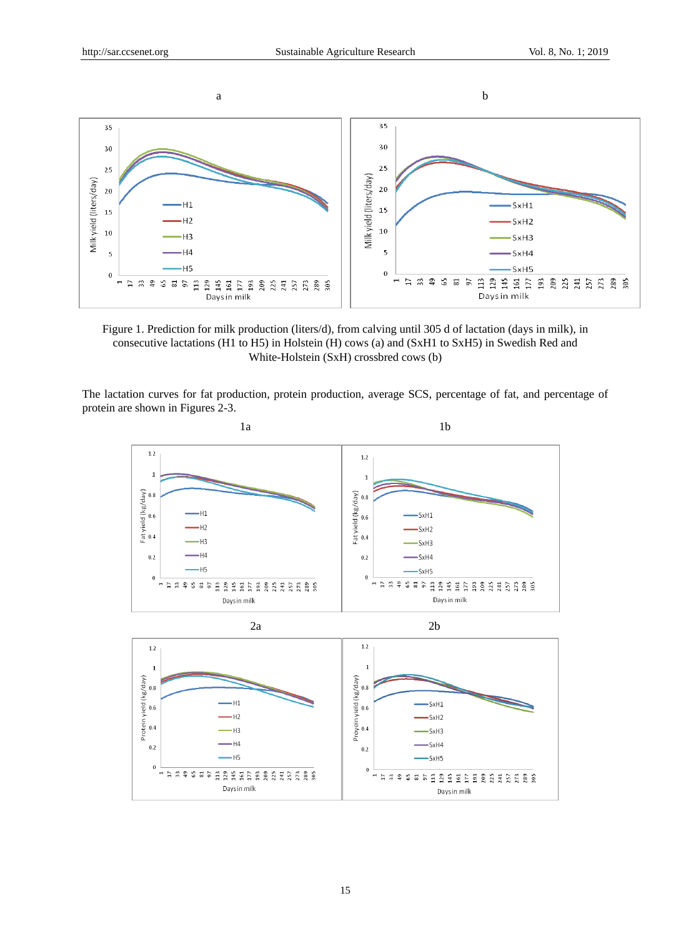

Figure 1. Prediction for milk production (liters/d), from calving until 305 d of lactation (days in milk), in consecutive lactations (H1 to H5) in Holstein (H) cows (a) and (SxH1 to SxH5) in Swedish Red and White-Holstein (SxH) crossbred cows (b)

The lactation curves for fat production, protein production, average SCS, percentage of fat, and percentage of protein are shown in Figures 2-3.

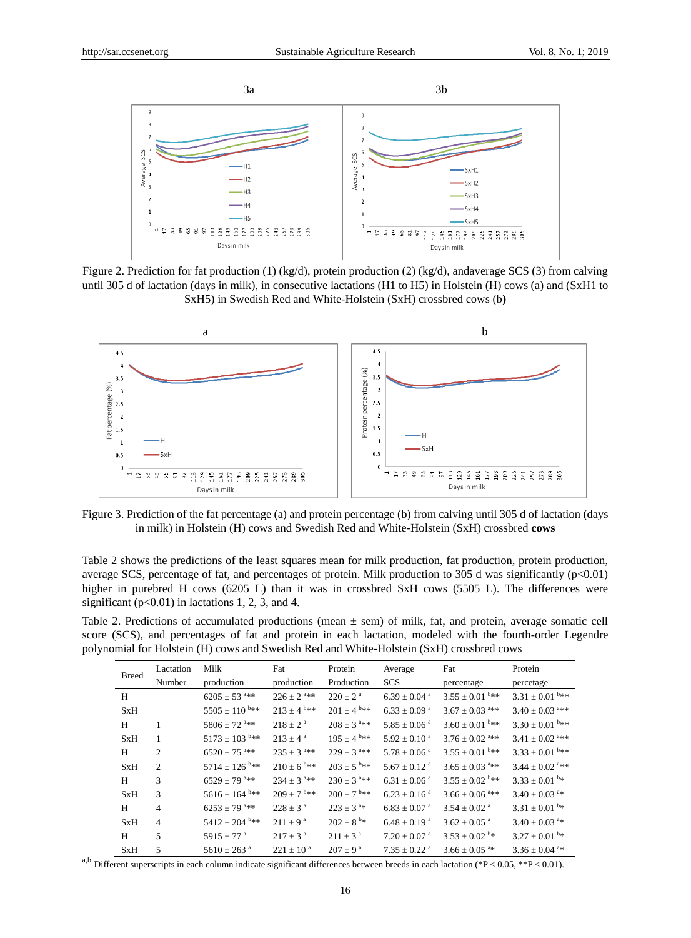

Figure 2. Prediction for fat production (1) (kg/d), protein production (2) (kg/d), andaverage SCS (3) from calving until 305 d of lactation (days in milk), in consecutive lactations (H1 to H5) in Holstein (H) cows (a) and (SxH1 to SxH5) in Swedish Red and White-Holstein (SxH) crossbred cows (b**)**



Figure 3. Prediction of the fat percentage (a) and protein percentage (b) from calving until 305 d of lactation (days in milk) in Holstein (H) cows and Swedish Red and White-Holstein (SxH) crossbred **cows**

Table 2 shows the predictions of the least squares mean for milk production, fat production, protein production, average SCS, percentage of fat, and percentages of protein. Milk production to 305 d was significantly  $(p<0.01)$ higher in purebred H cows (6205 L) than it was in crossbred SxH cows (5505 L). The differences were significant ( $p<0.01$ ) in lactations 1, 2, 3, and 4.

Table 2. Predictions of accumulated productions (mean ± sem) of milk, fat, and protein, average somatic cell score (SCS), and percentages of fat and protein in each lactation, modeled with the fourth-order Legendre polynomial for Holstein (H) cows and Swedish Red and White-Holstein (SxH) crossbred cows

| <b>Breed</b> | Lactation      | Milk                          | Fat                        | Protein                    | Average                      | Fat                             | Protein                         |
|--------------|----------------|-------------------------------|----------------------------|----------------------------|------------------------------|---------------------------------|---------------------------------|
|              | Number         | production                    | production                 | Production                 | <b>SCS</b>                   | percentage                      | percetage                       |
| H            |                | $6205 \pm 53$ <sup>a**</sup>  | $226 \pm 2^{a_{**}}$       | $220 + 2^a$                | 6.39 $\pm$ 0.04 $^{\circ}$   | 3.55 $\pm 0.01$ <sup>b**</sup>  | 3.31 $\pm 0.01$ <sup>b**</sup>  |
| <b>SxH</b>   |                | 5505 $\pm$ 110 <sup>b**</sup> | 213 $\pm 4$ b**            | $201 \pm 4^{6}$ **         | $6.33 \pm 0.09$ <sup>a</sup> | $3.67 \pm 0.03$ <sup>a**</sup>  | $3.40 \pm 0.03$ <sup>a**</sup>  |
| H            | 1              | 5806 $\pm$ 72 <sup>a**</sup>  | $218 \pm 2^{\text{a}}$     | $208 + 3$ <sup>a**</sup>   | $5.85 \pm 0.06$ <sup>a</sup> | $3.60 \pm 0.01$ <sup>b**</sup>  | 3.30 $\pm 0.01$ <sup>b**</sup>  |
| <b>SxH</b>   | 1              | $5173 \pm 103$ <sup>b**</sup> | $213 + 4^a$                | 195 ± 4 <sup>b**</sup>     | $5.92 \pm 0.10^{\text{a}}$   | $3.76 \pm 0.02$ <sup>a**</sup>  | 3.41 $\pm$ 0.02 <sup>a***</sup> |
| H            | $\overline{2}$ | $6520 \pm 75$ <sup>a**</sup>  | $235 \pm 3$ <sup>a**</sup> | $229 + 3$ <sup>a**</sup>   | $5.78 \pm 0.06$ <sup>a</sup> | $3.55 \pm 0.01$ <sup>b**</sup>  | 3.33 $\pm 0.01$ <sup>b**</sup>  |
| <b>SxH</b>   | 2              | 5714 $\pm$ 126 <sup>b**</sup> | $210 \pm 6$ <sup>b**</sup> | $203 \pm 5$ <sup>b**</sup> | $5.67 \pm 0.12$ <sup>a</sup> | $3.65 \pm 0.03$ <sup>a***</sup> | 3.44 $\pm$ 0.02 <sup>a**</sup>  |
| H            | 3              | 6529 ± 79 <sup>a**</sup>      | 234 $\pm$ 3 <sup>a**</sup> | $230 \pm 3$ <sup>a**</sup> | $6.31 \pm 0.06$ <sup>a</sup> | 3.55 $\pm$ 0.02 $b**$           | 3.33 $\pm$ 0.01 $\frac{b}{x}$   |
| <b>SxH</b>   | 3              | 5616 ± 164 $b**$              | $209 \pm 7$ <sup>b**</sup> | $200 + 7$ <sup>b**</sup>   | $6.23 \pm 0.16$ <sup>a</sup> | $3.66 \pm 0.06$ <sup>a***</sup> | 3.40 $\pm$ 0.03 <sup>a*</sup>   |
| H            | $\overline{4}$ | 6253 $\pm$ 79 <sup>a**</sup>  | $228 \pm 3^{\circ}$        | $223 \pm 3^{a*}$           | $6.83 \pm 0.07$ <sup>a</sup> | $3.54 \pm 0.02$ <sup>a</sup>    | 3.31 $\pm$ 0.01 $\frac{b}{x}$   |
| <b>SxH</b>   | $\overline{4}$ | 5412 $\pm 204$ <sup>b**</sup> | $211 \pm 9^{\text{a}}$     | $202 \pm 8^{b*}$           | $6.48 \pm 0.19$ <sup>a</sup> | $3.62 \pm 0.05$ <sup>a</sup>    | 3.40 $\pm$ 0.03 <sup>a*</sup>   |
| H            | 5              | 5915 $\pm$ 77 <sup>a</sup>    | $217 \pm 3^{\circ}$        | $211 \pm 3^{\circ}$        | $7.20 \pm 0.07$ <sup>a</sup> | $3.53 \pm 0.02$ <sup>b*</sup>   | 3.27 $\pm$ 0.01 $\frac{b}{x}$   |
| <b>SxH</b>   | 5              | 5610 $\pm$ 263 <sup>a</sup>   | $221 \pm 10^{a}$           | $207 \pm 9^{\text{a}}$     | 7.35 $\pm$ 0.22 <sup>a</sup> | $3.66 \pm 0.05$ <sup>a*</sup>   | 3.36 $\pm 0.04$ <sup>a*</sup>   |

<sup>a,b</sup> Different superscripts in each column indicate significant differences between breeds in each lactation (\*P < 0.05, \*\*P < 0.01).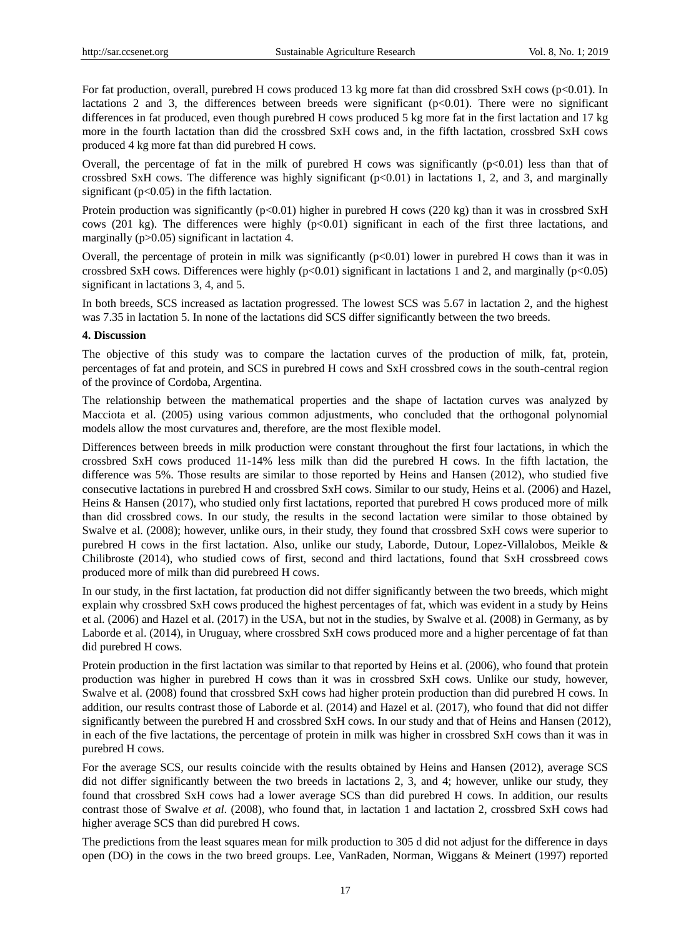For fat production, overall, purebred H cows produced 13 kg more fat than did crossbred SxH cows (p<0.01). In lactations 2 and 3, the differences between breeds were significant ( $p<0.01$ ). There were no significant differences in fat produced, even though purebred H cows produced 5 kg more fat in the first lactation and 17 kg more in the fourth lactation than did the crossbred SxH cows and, in the fifth lactation, crossbred SxH cows produced 4 kg more fat than did purebred H cows.

Overall, the percentage of fat in the milk of purebred H cows was significantly  $(p<0.01)$  less than that of crossbred SxH cows. The difference was highly significant (p<0.01) in lactations 1, 2, and 3, and marginally significant ( $p<0.05$ ) in the fifth lactation.

Protein production was significantly (p<0.01) higher in purebred H cows (220 kg) than it was in crossbred SxH cows (201 kg). The differences were highly  $(p<0.01)$  significant in each of the first three lactations, and marginally (p>0.05) significant in lactation 4.

Overall, the percentage of protein in milk was significantly  $(p<0.01)$  lower in purebred H cows than it was in crossbred SxH cows. Differences were highly (p<0.01) significant in lactations 1 and 2, and marginally (p<0.05) significant in lactations 3, 4, and 5.

In both breeds, SCS increased as lactation progressed. The lowest SCS was 5.67 in lactation 2, and the highest was 7.35 in lactation 5. In none of the lactations did SCS differ significantly between the two breeds.

# **4. Discussion**

The objective of this study was to compare the lactation curves of the production of milk, fat, protein, percentages of fat and protein, and SCS in purebred H cows and SxH crossbred cows in the south-central region of the province of Cordoba, Argentina.

The relationship between the mathematical properties and the shape of lactation curves was analyzed by Macciota et al. (2005) using various common adjustments, who concluded that the orthogonal polynomial models allow the most curvatures and, therefore, are the most flexible model.

Differences between breeds in milk production were constant throughout the first four lactations, in which the crossbred SxH cows produced 11-14% less milk than did the purebred H cows. In the fifth lactation, the difference was 5%. Those results are similar to those reported by Heins and Hansen (2012), who studied five consecutive lactations in purebred H and crossbred SxH cows. Similar to our study, Heins et al. (2006) and Hazel, Heins & Hansen (2017), who studied only first lactations, reported that purebred H cows produced more of milk than did crossbred cows. In our study, the results in the second lactation were similar to those obtained by Swalve et al. (2008); however, unlike ours, in their study, they found that crossbred SxH cows were superior to purebred H cows in the first lactation. Also, unlike our study, Laborde, Dutour, Lopez-Villalobos, Meikle & Chilibroste (2014), who studied cows of first, second and third lactations, found that SxH crossbreed cows produced more of milk than did purebreed H cows.

In our study, in the first lactation, fat production did not differ significantly between the two breeds, which might explain why crossbred SxH cows produced the highest percentages of fat, which was evident in a study by Heins et al. (2006) and Hazel et al. (2017) in the USA, but not in the studies, by Swalve et al. (2008) in Germany, as by Laborde et al. (2014), in Uruguay, where crossbred SxH cows produced more and a higher percentage of fat than did purebred H cows.

Protein production in the first lactation was similar to that reported by Heins et al. (2006), who found that protein production was higher in purebred H cows than it was in crossbred SxH cows. Unlike our study, however, Swalve et al. (2008) found that crossbred SxH cows had higher protein production than did purebred H cows. In addition, our results contrast those of Laborde et al. (2014) and Hazel et al. (2017), who found that did not differ significantly between the purebred H and crossbred SxH cows. In our study and that of Heins and Hansen (2012), in each of the five lactations, the percentage of protein in milk was higher in crossbred SxH cows than it was in purebred H cows.

For the average SCS, our results coincide with the results obtained by Heins and Hansen (2012), average SCS did not differ significantly between the two breeds in lactations 2, 3, and 4; however, unlike our study, they found that crossbred SxH cows had a lower average SCS than did purebred H cows. In addition, our results contrast those of Swalve *et al*. (2008), who found that, in lactation 1 and lactation 2, crossbred SxH cows had higher average SCS than did purebred H cows.

The predictions from the least squares mean for milk production to 305 d did not adjust for the difference in days open (DO) in the cows in the two breed groups. Lee, VanRaden, Norman, Wiggans & Meinert (1997) reported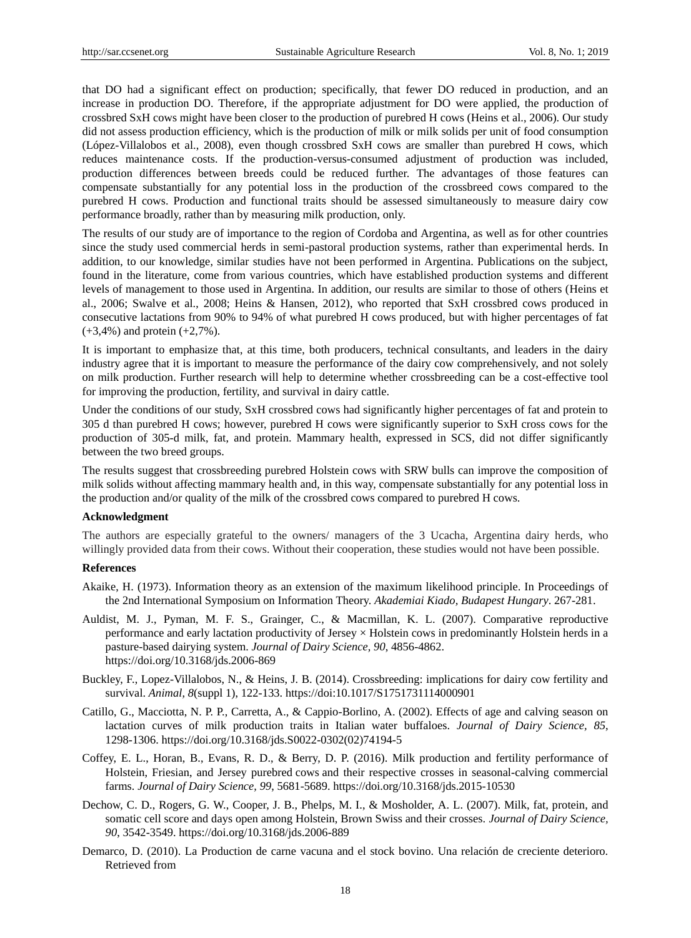that DO had a significant effect on production; specifically, that fewer DO reduced in production, and an increase in production DO. Therefore, if the appropriate adjustment for DO were applied, the production of crossbred SxH cows might have been closer to the production of purebred H cows (Heins et al., 2006). Our study did not assess production efficiency, which is the production of milk or milk solids per unit of food consumption (López-Villalobos et al., 2008), even though crossbred SxH cows are smaller than purebred H cows, which reduces maintenance costs. If the production-versus-consumed adjustment of production was included, production differences between breeds could be reduced further. The advantages of those features can compensate substantially for any potential loss in the production of the crossbreed cows compared to the purebred H cows. Production and functional traits should be assessed simultaneously to measure dairy cow performance broadly, rather than by measuring milk production, only.

The results of our study are of importance to the region of Cordoba and Argentina, as well as for other countries since the study used commercial herds in semi-pastoral production systems, rather than experimental herds. In addition, to our knowledge, similar studies have not been performed in Argentina. Publications on the subject, found in the literature, come from various countries, which have established production systems and different levels of management to those used in Argentina. In addition, our results are similar to those of others (Heins et al., 2006; Swalve et al., 2008; Heins & Hansen, 2012), who reported that SxH crossbred cows produced in consecutive lactations from 90% to 94% of what purebred H cows produced, but with higher percentages of fat (+3,4%) and protein (+2,7%).

It is important to emphasize that, at this time, both producers, technical consultants, and leaders in the dairy industry agree that it is important to measure the performance of the dairy cow comprehensively, and not solely on milk production. Further research will help to determine whether crossbreeding can be a cost-effective tool for improving the production, fertility, and survival in dairy cattle.

Under the conditions of our study, SxH crossbred cows had significantly higher percentages of fat and protein to 305 d than purebred H cows; however, purebred H cows were significantly superior to SxH cross cows for the production of 305-d milk, fat, and protein. Mammary health, expressed in SCS, did not differ significantly between the two breed groups.

The results suggest that crossbreeding purebred Holstein cows with SRW bulls can improve the composition of milk solids without affecting mammary health and, in this way, compensate substantially for any potential loss in the production and/or quality of the milk of the crossbred cows compared to purebred H cows.

# **Acknowledgment**

The authors are especially grateful to the owners/ managers of the 3 Ucacha, Argentina dairy herds, who willingly provided data from their cows. Without their cooperation, these studies would not have been possible.

## **References**

- Akaike, H. (1973). Information theory as an extension of the maximum likelihood principle. In Proceedings of the 2nd International Symposium on Information Theory. *Akademiai Kiado, Budapest Hungary*. 267-281.
- Auldist, M. J., Pyman, M. F. S., Grainger, C., & Macmillan, K. L. (2007). Comparative reproductive performance and early lactation productivity of Jersey × Holstein cows in predominantly Holstein herds in a pasture-based dairying system. *Journal of Dairy Science, 90*, 4856-4862. <https://doi.org/10.3168/jds.2006-869>
- Buckley, F., Lopez-Villalobos, N., & Heins, J. B. (2014). Crossbreeding: implications for dairy cow fertility and survival. *Animal, 8*(suppl 1), 122-133. https://doi:10.1017/S1751731114000901
- Catillo, G., Macciotta, N. P. P., Carretta, A., & Cappio-Borlino, A. (2002). Effects of age and calving season on lactation curves of milk production traits in Italian water buffaloes. *Journal of Dairy Science, 85*, 1298-1306. https://doi.org/10.3168/jds.S0022-0302(02)74194-5
- Coffey, E. L., Horan, B., Evans, R. D., & Berry, D. P. (2016). [Milk production and fertility performance of](http://www.sciencedirect.com/science/article/pii/S0022030216301990)  Holstein, Friesian, and Jersey purebred cows [and their respective crosses in seasonal-calving commercial](http://www.sciencedirect.com/science/article/pii/S0022030216301990)  [farms.](http://www.sciencedirect.com/science/article/pii/S0022030216301990) *Journal of Dairy Science, 99*, 5681-5689. https://doi.org/10.3168/jds.2015-10530
- Dechow, C. D., Rogers, G. W., Cooper, J. B., Phelps, M. I., & Mosholder, A. L. (2007). Milk, fat, protein, and somatic cell score and days open among Holstein, Brown Swiss and their crosses. *Journal of Dairy Science, 90*, 3542-3549.<https://doi.org/10.3168/jds.2006-889>
- Demarco, D. (2010). La Production de carne vacuna and el stock bovino. Una relación de creciente deterioro. Retrieved from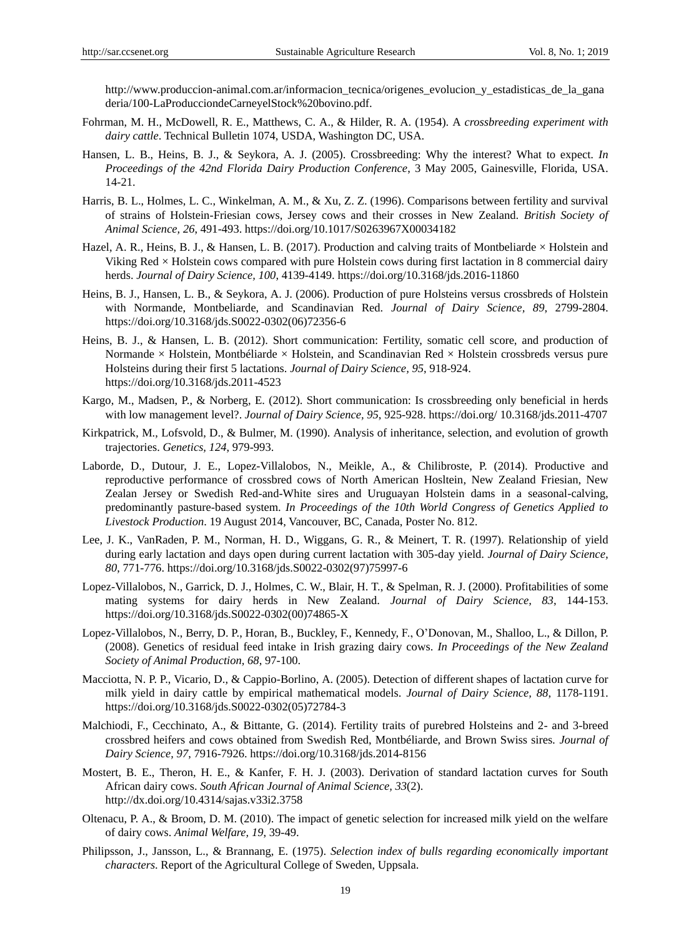http://www.produccion-animal.com.ar/informacion\_tecnica/origenes\_evolucion\_y\_estadisticas\_de\_la\_gana deria/100-LaProducciondeCarneyelStock%20bovino.pdf.

- Fohrman, M. H., McDowell, R. E., Matthews, C. A., & Hilder, R. A. (1954). A *crossbreeding experiment with dairy cattle*. Technical Bulletin 1074, USDA, Washington DC, USA.
- Hansen, L. B., Heins, B. J., & Seykora, A. J. (2005). Crossbreeding: Why the interest? What to expect. *In Proceedings of the 42nd Florida Dairy Production Conference*, 3 May 2005, Gainesville, Florida, USA. 14-21.
- Harris, B. L., Holmes, L. C., Winkelman, A. M., & Xu, Z. Z. (1996). Comparisons between fertility and survival of strains of Holstein-Friesian cows, Jersey cows and their crosses in New Zealand. *British Society of Animal Science, 26*, 491-493. https://doi.org/10.1017/S0263967X00034182
- Hazel, A. R., Heins, B. J., & Hansen, L. B. (2017). Production and calving traits of Montbeliarde  $\times$  Holstein and Viking Red × Holstein cows compared with pure Holstein cows during first lactation in 8 commercial dairy herds. *Journal of Dairy Science, 100*, 4139-4149.<https://doi.org/10.3168/jds.2016-11860>
- Heins, B. J., Hansen, L. B., & Seykora, A. J. (2006). Production of pure Holsteins versus crossbreds of Holstein with Normande, Montbeliarde, and Scandinavian Red. *Journal of Dairy Science, 89*, 2799-2804. [https://doi.org/10.3168/jds.S0022-0302\(06\)72356-6](https://doi.org/10.3168/jds.S0022-0302(06)72356-6)
- Heins, B. J., & Hansen, L. B. (2012). Short communication: Fertility, somatic cell score, and production of Normande  $\times$  Holstein, Montb diarde  $\times$  Holstein, and Scandinavian Red  $\times$  Holstein crossbreds versus pure Holsteins during their first 5 lactations. *Journal of Dairy Science, 95*, 918-924. <https://doi.org/10.3168/jds.2011-4523>
- Kargo, M., Madsen, P., & Norberg, E. (2012). Short communication: Is crossbreeding only beneficial in herds with low management level?. *Journal of Dairy Science, 95*, 925-928. https://doi.org/ 10.3168/jds.2011-4707
- Kirkpatrick, M., Lofsvold, D., & Bulmer, M. (1990). Analysis of inheritance, selection, and evolution of growth trajectories. *Genetics, 124*, 979-993.
- Laborde, D., Dutour, J. E., Lopez-Villalobos, N., Meikle, A., & Chilibroste, P. (2014). Productive and reproductive performance of crossbred cows of North American Hosltein, New Zealand Friesian, New Zealan Jersey or Swedish Red-and-White sires and Uruguayan Holstein dams in a seasonal-calving, predominantly pasture-based system. *In Proceedings of the 10th World Congress of Genetics Applied to Livestock Production*. 19 August 2014, Vancouver, BC, Canada, Poster No. 812.
- Lee, J. K., VanRaden, P. M., Norman, H. D., Wiggans, G. R., & Meinert, T. R. (1997). Relationship of yield during early lactation and days open during current lactation with 305-day yield. *Journal of Dairy Science, 80*, 771-776. [https://doi.org/10.3168/jds.S0022-0302\(97\)75997-6](https://doi.org/10.3168/jds.S0022-0302(97)75997-6)
- Lopez-Villalobos, N., Garrick, D. J., Holmes, C. W., Blair, H. T., & Spelman, R. J. (2000). Profitabilities of some mating systems for dairy herds in New Zealand. *Journal of Dairy Science, 83*, 144-153. [https://doi.org/10.3168/jds.S0022-0302\(00\)74865-X](https://doi.org/10.3168/jds.S0022-0302(00)74865-X)
- Lopez-Villalobos, N., Berry, D. P., Horan, B., Buckley, F., Kennedy, F., O'Donovan, M., Shalloo, L., & Dillon, P. (2008). Genetics of residual feed intake in Irish grazing dairy cows. *In Proceedings of the New Zealand Society of Animal Production, 68*, 97-100.
- Macciotta, N. P. P., Vicario, D., & Cappio-Borlino, A. (2005). Detection of different shapes of lactation curve for milk yield in dairy cattle by empirical mathematical models. *Journal of Dairy Science, 88*, 1178-1191. [https://doi.org/10.3168/jds.S0022-0302\(05\)72784-3](https://doi.org/10.3168/jds.S0022-0302(05)72784-3)
- Malchiodi, F., Cecchinato, A., & Bittante, G. (2014). Fertility traits of purebred Holsteins and 2- and 3-breed crossbred heifers and cows obtained from Swedish Red, Montbéliarde, and Brown Swiss sires. *Journal of Dairy Science, 97*, 7916-7926[. https://doi.org/10.3168/jds.2014-8156](https://doi.org/10.3168/jds.2014-8156)
- Mostert, B. E., Theron, H. E., & Kanfer, F. H. J. (2003). Derivation of standard lactation curves for South African dairy cows. *South African Journal of Animal Science, 33*(2). <http://dx.doi.org/10.4314/sajas.v33i2.3758>
- Oltenacu, P. A., & Broom, D. M. (2010). The impact of genetic selection for increased milk yield on the welfare of dairy cows. *Animal Welfare, 19*, 39-49.
- Philipsson, J., Jansson, L., & Brannang, E. (1975). *Selection index of bulls regarding economically important characters*. Report of the Agricultural College of Sweden, Uppsala.